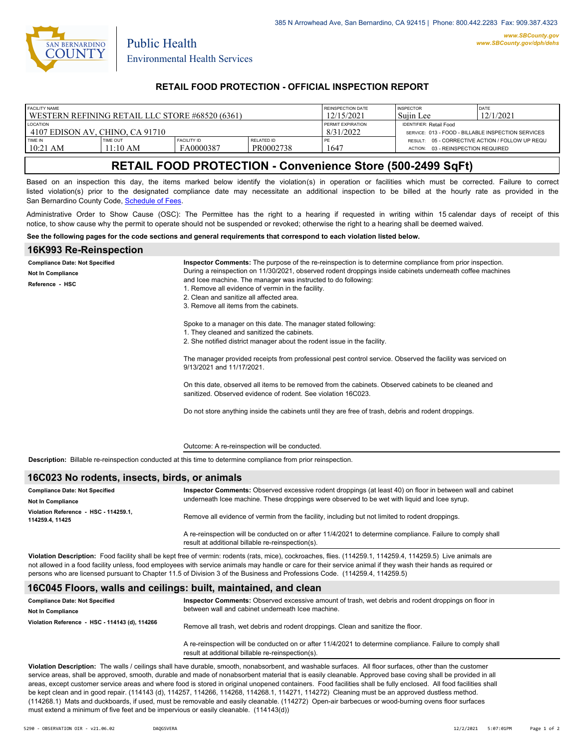

Public Health

### **RETAIL FOOD PROTECTION - OFFICIAL INSPECTION REPORT**

| <b>FACILITY NAME</b>                            |                             |                                 |                         | REINSPECTION DATE | <b>INSPECTOR</b>                                                                         | <b>DATE</b> |
|-------------------------------------------------|-----------------------------|---------------------------------|-------------------------|-------------------|------------------------------------------------------------------------------------------|-------------|
| WESTERN REFINING RETAIL LLC STORE #68520 (6361) |                             |                                 |                         | 12/15/2021        | 'Suiin Lee                                                                               | 12/1/2021   |
| <b>LOCATION</b>                                 |                             |                                 |                         | PERMIT EXPIRATION | <b>IDENTIFIER: Retail Food</b>                                                           |             |
| ! 4107 EDISON AV. CHINO. CA 91710               |                             |                                 |                         | 8/31/2022         | SERVICE: 013 - FOOD - BILLABLE INSPECTION SERVICES                                       |             |
| TIME IN<br>$10:21$ AM                           | <b>TIME OUT</b><br>11:10 AM | <b>FACILITY ID</b><br>FA0000387 | RELATED ID<br>PR0002738 | 1647              | RESULT: 05 - CORRECTIVE ACTION / FOLLOW UP REQU<br>03 - REINSPECTION REQUIRED<br>ACTION: |             |

# **RETAIL FOOD PROTECTION - Convenience Store (500-2499 SqFt)**

Based on an inspection this day, the items marked below identify the violation(s) in operation or facilities which must be corrected. Failure to correct listed violation(s) prior to the designated compliance date may necessitate an additional inspection to be billed at the hourly rate as provided in the San Bernardino County Code, Schedule of Fees

Administrative Order to Show Cause (OSC): The Permittee has the right to a hearing if requested in writing within 15 calendar days of receipt of this notice, to show cause why the permit to operate should not be suspended or revoked; otherwise the right to a hearing shall be deemed waived.

#### **See the following pages for the code sections and general requirements that correspond to each violation listed below.**

#### **16K993 Re-Reinspection**

| <b>Compliance Date: Not Specified</b> | Inspector Comments: The purpose of the re-reinspection is to determine compliance from prior inspection.                                                                                                                                                                                                                                                                                                                                                                                                                                                                                                                |  |  |
|---------------------------------------|-------------------------------------------------------------------------------------------------------------------------------------------------------------------------------------------------------------------------------------------------------------------------------------------------------------------------------------------------------------------------------------------------------------------------------------------------------------------------------------------------------------------------------------------------------------------------------------------------------------------------|--|--|
| <b>Not In Compliance</b>              | During a reinspection on 11/30/2021, observed rodent droppings inside cabinets underneath coffee machines                                                                                                                                                                                                                                                                                                                                                                                                                                                                                                               |  |  |
| Reference HSC                         | and Icee machine. The manager was instructed to do following:<br>1. Remove all evidence of vermin in the facility.<br>2. Clean and sanitize all affected area.<br>3. Remove all items from the cabinets.                                                                                                                                                                                                                                                                                                                                                                                                                |  |  |
|                                       | Spoke to a manager on this date. The manager stated following:<br>1. They cleaned and sanitized the cabinets.<br>2. She notified district manager about the rodent issue in the facility.<br>The manager provided receipts from professional pest control service. Observed the facility was serviced on<br>9/13/2021 and 11/17/2021.<br>On this date, observed all items to be removed from the cabinets. Observed cabinets to be cleaned and<br>sanitized. Observed evidence of rodent. See violation 16C023.<br>Do not store anything inside the cabinets until they are free of trash, debris and rodent droppings. |  |  |
|                                       | Outcome: A re-reinspection will be conducted.                                                                                                                                                                                                                                                                                                                                                                                                                                                                                                                                                                           |  |  |

**Description:** Billable re-reinspection conducted at this time to determine compliance from prior reinspection.

### **16C023 No rodents, insects, birds, or animals**

| <b>Compliance Date: Not Specified</b>                   | Inspector Comments: Observed excessive rodent droppings (at least 40) on floor in between wall and cabinet<br>underneath Icee machine. These droppings were observed to be wet with liquid and Icee syrup. |  |
|---------------------------------------------------------|------------------------------------------------------------------------------------------------------------------------------------------------------------------------------------------------------------|--|
| Not In Compliance                                       |                                                                                                                                                                                                            |  |
| Violation Reference - HSC - 114259.1.<br>114259.4.11425 | Remove all evidence of vermin from the facility, including but not limited to rodent droppings.                                                                                                            |  |
|                                                         | A re-reinspection will be conducted on or after 11/4/2021 to determine compliance. Failure to comply shall<br>result at additional billable re-reinspection(s).                                            |  |

**Violation Description:** Food facility shall be kept free of vermin: rodents (rats, mice), cockroaches, flies. (114259.1, 114259.4, 114259.5) Live animals are not allowed in a food facility unless, food employees with service animals may handle or care for their service animal if they wash their hands as required or persons who are licensed pursuant to Chapter 11.5 of Division 3 of the Business and Professions Code. (114259.4, 114259.5)

#### **16C045 Floors, walls and ceilings: built, maintained, and clean**

| <b>Compliance Date: Not Specified</b><br><b>Not In Compliance</b> | Inspector Comments: Observed excessive amount of trash, wet debris and rodent droppings on floor in<br>between wall and cabinet underneath Icee machine. |
|-------------------------------------------------------------------|----------------------------------------------------------------------------------------------------------------------------------------------------------|
| Violation Reference - HSC - 114143 (d), 114266                    | Remove all trash, wet debris and rodent droppings. Clean and sanitize the floor.                                                                         |
|                                                                   | A se reignesation ujil ha conducted an arctics 14/4/0024 to determine compliance. Foilure to comply aboll                                                |

A re-reinspection will be conducted on or after 11/4/2021 to determine compliance. Failure to comply shall result at additional billable re-reinspection(s).

**Violation Description:** The walls / ceilings shall have durable, smooth, nonabsorbent, and washable surfaces. All floor surfaces, other than the customer service areas, shall be approved, smooth, durable and made of nonabsorbent material that is easily cleanable. Approved base coving shall be provided in all areas, except customer service areas and where food is stored in original unopened containers. Food facilities shall be fully enclosed. All food facilities shall be kept clean and in good repair. (114143 (d), 114257, 114266, 114268, 114268.1, 114271, 114272) Cleaning must be an approved dustless method. (114268.1) Mats and duckboards, if used, must be removable and easily cleanable. (114272) Open-air barbecues or wood-burning ovens floor surfaces must extend a minimum of five feet and be impervious or easily cleanable. (114143(d))